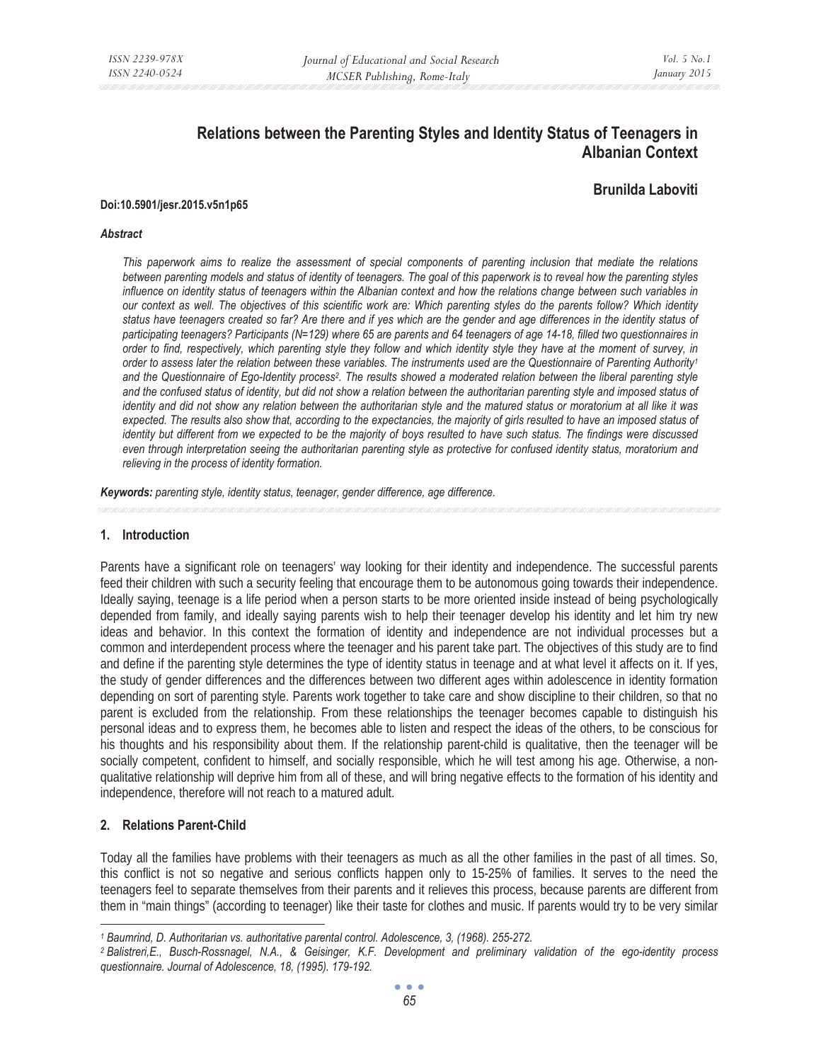# **Relations between the Parenting Styles and Identity Status of Teenagers in Albanian Context**

## **Brunilda Laboviti**

#### **Doi:10.5901/jesr.2015.v5n1p65**

#### *Abstract*

*This paperwork aims to realize the assessment of special components of parenting inclusion that mediate the relations between parenting models and status of identity of teenagers. The goal of this paperwork is to reveal how the parenting styles*  influence on identity status of teenagers within the Albanian context and how the relations change between such variables in *our context as well. The objectives of this scientific work are: Which parenting styles do the parents follow? Which identity status have teenagers created so far? Are there and if yes which are the gender and age differences in the identity status of participating teenagers? Participants (N=129) where 65 are parents and 64 teenagers of age 14-18, filled two questionnaires in order to find, respectively, which parenting style they follow and which identity style they have at the moment of survey, in order to assess later the relation between these variables. The instruments used are the Questionnaire of Parenting Authority1* and the Questionnaire of Ego-Identity process<sup>2</sup>. The results showed a moderated relation between the liberal parenting style *and the confused status of identity, but did not show a relation between the authoritarian parenting style and imposed status of identity and did not show any relation between the authoritarian style and the matured status or moratorium at all like it was*  expected. The results also show that, according to the expectancies, the majority of girls resulted to have an imposed status of *identity but different from we expected to be the majority of boys resulted to have such status. The findings were discussed even through interpretation seeing the authoritarian parenting style as protective for confused identity status, moratorium and relieving in the process of identity formation.* 

*Keywords: parenting style, identity status, teenager, gender difference, age difference.* 

#### **1. Introduction**

Parents have a significant role on teenagers' way looking for their identity and independence. The successful parents feed their children with such a security feeling that encourage them to be autonomous going towards their independence. Ideally saying, teenage is a life period when a person starts to be more oriented inside instead of being psychologically depended from family, and ideally saying parents wish to help their teenager develop his identity and let him try new ideas and behavior. In this context the formation of identity and independence are not individual processes but a common and interdependent process where the teenager and his parent take part. The objectives of this study are to find and define if the parenting style determines the type of identity status in teenage and at what level it affects on it. If yes, the study of gender differences and the differences between two different ages within adolescence in identity formation depending on sort of parenting style. Parents work together to take care and show discipline to their children, so that no parent is excluded from the relationship. From these relationships the teenager becomes capable to distinguish his personal ideas and to express them, he becomes able to listen and respect the ideas of the others, to be conscious for his thoughts and his responsibility about them. If the relationship parent-child is qualitative, then the teenager will be socially competent, confident to himself, and socially responsible, which he will test among his age. Otherwise, a nonqualitative relationship will deprive him from all of these, and will bring negative effects to the formation of his identity and independence, therefore will not reach to a matured adult.

### **2. Relations Parent-Child**

Today all the families have problems with their teenagers as much as all the other families in the past of all times. So, this conflict is not so negative and serious conflicts happen only to 15-25% of families. It serves to the need the teenagers feel to separate themselves from their parents and it relieves this process, because parents are different from them in "main things" (according to teenager) like their taste for clothes and music. If parents would try to be very similar

<sup>&</sup>lt;sup>1</sup> Baumrind, D. Authoritarian vs. authoritative parental control. Adolescence, 3, (1968). 255-272.<br><sup>2</sup> Balistreri,E., Busch-Rossnagel, N.A., & Geisinger, K.F. Development and preliminary validation of the ego-identity pro *questionnaire. Journal of Adolescence, 18, (1995). 179-192.*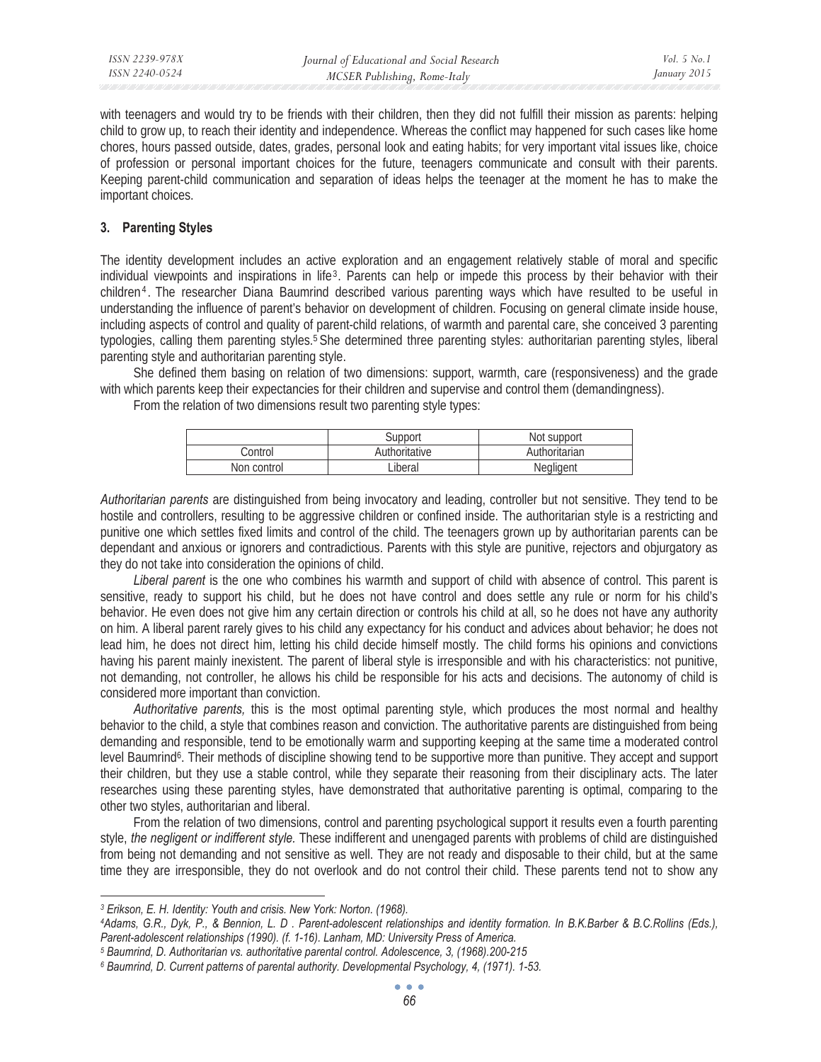with teenagers and would try to be friends with their children, then they did not fulfill their mission as parents: helping child to grow up, to reach their identity and independence. Whereas the conflict may happened for such cases like home chores, hours passed outside, dates, grades, personal look and eating habits; for very important vital issues like, choice of profession or personal important choices for the future, teenagers communicate and consult with their parents. Keeping parent-child communication and separation of ideas helps the teenager at the moment he has to make the important choices.

### **3. Parenting Styles**

The identity development includes an active exploration and an engagement relatively stable of moral and specific individual viewpoints and inspirations in life3. Parents can help or impede this process by their behavior with their children4 . The researcher Diana Baumrind described various parenting ways which have resulted to be useful in understanding the influence of parent's behavior on development of children. Focusing on general climate inside house, including aspects of control and quality of parent-child relations, of warmth and parental care, she conceived 3 parenting typologies, calling them parenting styles.<sup>5</sup> She determined three parenting styles: authoritarian parenting styles, liberal parenting style and authoritarian parenting style.

She defined them basing on relation of two dimensions: support, warmth, care (responsiveness) and the grade with which parents keep their expectancies for their children and supervise and control them (demandingness).

From the relation of two dimensions result two parenting style types:

|             | Support       | Not support   |
|-------------|---------------|---------------|
| Control     | Authoritative | Authoritarian |
| Non control | Liberal       | Nealigent     |

*Authoritarian parents* are distinguished from being invocatory and leading, controller but not sensitive. They tend to be hostile and controllers, resulting to be aggressive children or confined inside. The authoritarian style is a restricting and punitive one which settles fixed limits and control of the child. The teenagers grown up by authoritarian parents can be dependant and anxious or ignorers and contradictious. Parents with this style are punitive, rejectors and objurgatory as they do not take into consideration the opinions of child.

Liberal parent is the one who combines his warmth and support of child with absence of control. This parent is sensitive, ready to support his child, but he does not have control and does settle any rule or norm for his child's behavior. He even does not give him any certain direction or controls his child at all, so he does not have any authority on him. A liberal parent rarely gives to his child any expectancy for his conduct and advices about behavior; he does not lead him, he does not direct him, letting his child decide himself mostly. The child forms his opinions and convictions having his parent mainly inexistent. The parent of liberal style is irresponsible and with his characteristics: not punitive, not demanding, not controller, he allows his child be responsible for his acts and decisions. The autonomy of child is considered more important than conviction.

*Authoritative parents,* this is the most optimal parenting style, which produces the most normal and healthy behavior to the child, a style that combines reason and conviction. The authoritative parents are distinguished from being demanding and responsible, tend to be emotionally warm and supporting keeping at the same time a moderated control level Baumrind<sup>6</sup>. Their methods of discipline showing tend to be supportive more than punitive. They accept and support their children, but they use a stable control, while they separate their reasoning from their disciplinary acts. The later researches using these parenting styles, have demonstrated that authoritative parenting is optimal, comparing to the other two styles, authoritarian and liberal.

From the relation of two dimensions, control and parenting psychological support it results even a fourth parenting style, *the negligent or indifferent style.* These indifferent and unengaged parents with problems of child are distinguished from being not demanding and not sensitive as well. They are not ready and disposable to their child, but at the same time they are irresponsible, they do not overlook and do not control their child. These parents tend not to show any

*<sup>3</sup> Erikson, E. H. Identity: Youth and crisis. New York: Norton. (1968). 4Adams, G.R., Dyk, P., & Bennion, L. D . Parent-adolescent relationships and identity formation. In B.K.Barber & B.C.Rollins (Eds.),*  Parent-adolescent relationships (1990). (f. 1-16). Lanham, MD: University Press of America.<br><sup>5</sup> Baumrind, D. Authoritarian vs. authoritative parental control. Adolescence, 3, (1968).200-215<br><sup>6</sup> Baumrind, D. Current pattern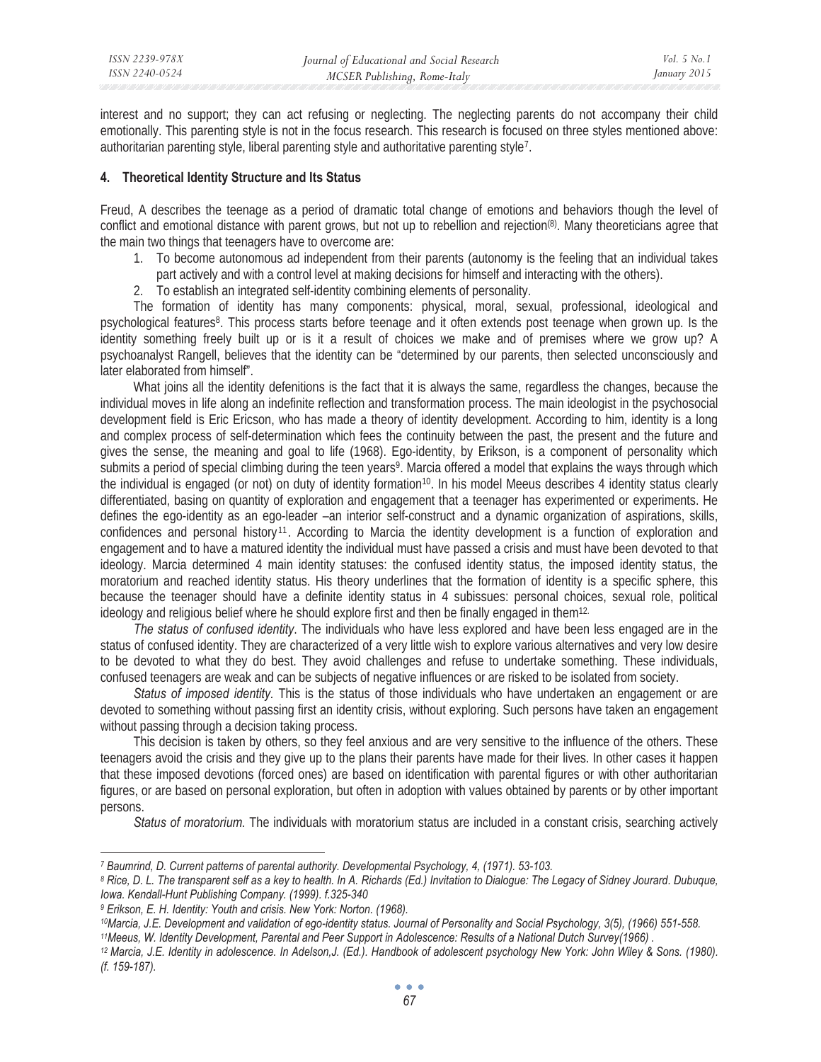interest and no support; they can act refusing or neglecting. The neglecting parents do not accompany their child emotionally. This parenting style is not in the focus research. This research is focused on three styles mentioned above: authoritarian parenting style, liberal parenting style and authoritative parenting style<sup>7</sup>.

### **4. Theoretical Identity Structure and Its Status**

Freud, A describes the teenage as a period of dramatic total change of emotions and behaviors though the level of conflict and emotional distance with parent grows, but not up to rebellion and rejection(8). Many theoreticians agree that the main two things that teenagers have to overcome are:

- 1. To become autonomous ad independent from their parents (autonomy is the feeling that an individual takes part actively and with a control level at making decisions for himself and interacting with the others).
- 2. To establish an integrated self-identity combining elements of personality.

The formation of identity has many components: physical, moral, sexual, professional, ideological and psychological features<sup>8</sup>. This process starts before teenage and it often extends post teenage when grown up. Is the identity something freely built up or is it a result of choices we make and of premises where we grow up? A psychoanalyst Rangell, believes that the identity can be "determined by our parents, then selected unconsciously and later elaborated from himself".

What joins all the identity defenitions is the fact that it is always the same, regardless the changes, because the individual moves in life along an indefinite reflection and transformation process. The main ideologist in the psychosocial development field is Eric Ericson, who has made a theory of identity development. According to him, identity is a long and complex process of self-determination which fees the continuity between the past, the present and the future and gives the sense, the meaning and goal to life (1968). Ego-identity, by Erikson, is a component of personality which submits a period of special climbing during the teen years<sup>9</sup>. Marcia offered a model that explains the ways through which the individual is engaged (or not) on duty of identity formation<sup>10</sup>. In his model Meeus describes 4 identity status clearly differentiated, basing on quantity of exploration and engagement that a teenager has experimented or experiments. He defines the ego-identity as an ego-leader –an interior self-construct and a dynamic organization of aspirations, skills, confidences and personal history <sup>11</sup> . According to Marcia the identity development is a function of exploration and engagement and to have a matured identity the individual must have passed a crisis and must have been devoted to that ideology. Marcia determined 4 main identity statuses: the confused identity status, the imposed identity status, the moratorium and reached identity status. His theory underlines that the formation of identity is a specific sphere, this because the teenager should have a definite identity status in 4 subissues: personal choices, sexual role, political ideology and religious belief where he should explore first and then be finally engaged in them<sup>12.</sup>

*The status of confused identity*. The individuals who have less explored and have been less engaged are in the status of confused identity. They are characterized of a very little wish to explore various alternatives and very low desire to be devoted to what they do best. They avoid challenges and refuse to undertake something. These individuals, confused teenagers are weak and can be subjects of negative influences or are risked to be isolated from society.

*Status of imposed identity.* This is the status of those individuals who have undertaken an engagement or are devoted to something without passing first an identity crisis, without exploring. Such persons have taken an engagement without passing through a decision taking process.

This decision is taken by others, so they feel anxious and are very sensitive to the influence of the others. These teenagers avoid the crisis and they give up to the plans their parents have made for their lives. In other cases it happen that these imposed devotions (forced ones) are based on identification with parental figures or with other authoritarian figures, or are based on personal exploration, but often in adoption with values obtained by parents or by other important persons.

*Status of moratorium.* The individuals with moratorium status are included in a constant crisis, searching actively

- <sup>9</sup> Erikson, E. H. Identity: Youth and crisis. New York: Norton. (1968).<br><sup>10</sup>Marcia, J.E. Development and validation of ego-identity status. Journal of Personality and Social Psychology, 3(5), (1966) 551-558.<br><sup>11</sup>Meeus, W.
- *(f. 159-187).*

<sup>&</sup>lt;sup>7</sup> Baumrind, D. Current patterns of parental authority. Developmental Psychology, 4, (1971). 53-103.<br><sup>8</sup> Rice, D. L. The transparent self as a key to health. In A. Richards (Ed.) Invitation to Dialogue: The Legacy of Sidn *Iowa. Kendall-Hunt Publishing Company. (1999). f.325-340*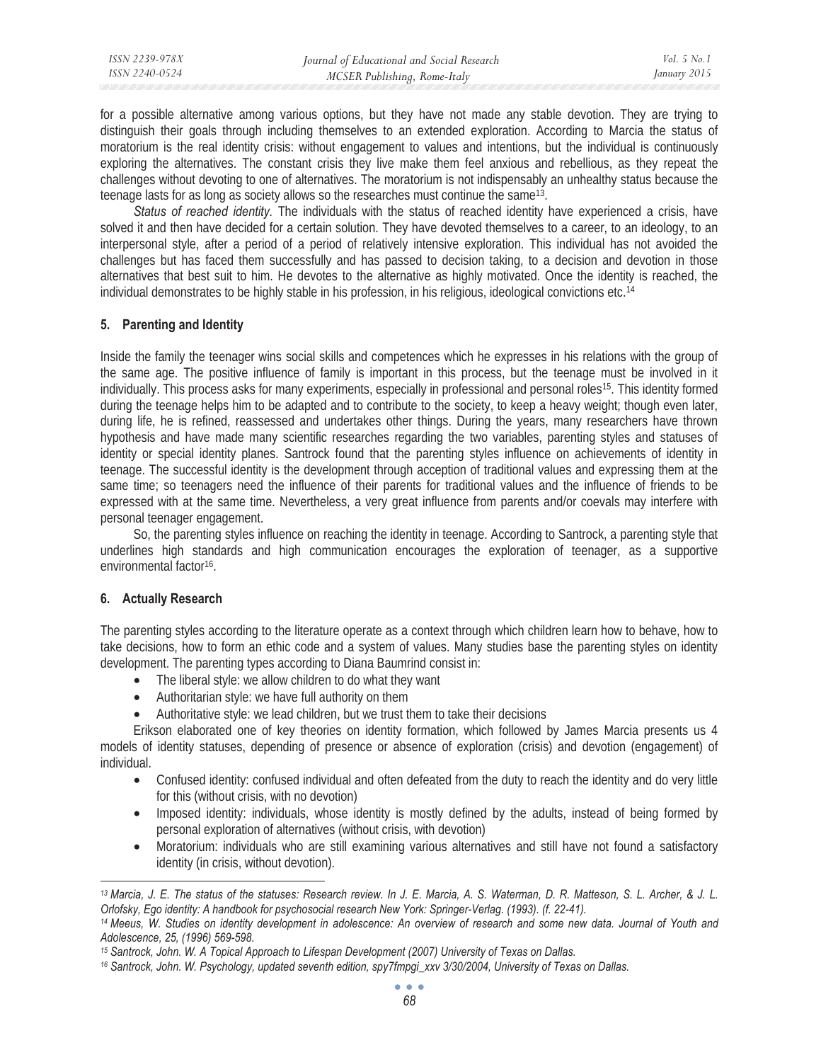| ISSN 2239-978X | Journal of Educational and Social Research | Vol. 5 No. 1 |
|----------------|--------------------------------------------|--------------|
| ISSN 2240-0524 | MCSER Publishing, Rome-Italy               | January 2015 |

for a possible alternative among various options, but they have not made any stable devotion. They are trying to distinguish their goals through including themselves to an extended exploration. According to Marcia the status of moratorium is the real identity crisis: without engagement to values and intentions, but the individual is continuously exploring the alternatives. The constant crisis they live make them feel anxious and rebellious, as they repeat the challenges without devoting to one of alternatives. The moratorium is not indispensably an unhealthy status because the teenage lasts for as long as society allows so the researches must continue the same13.

*Status of reached identity.* The individuals with the status of reached identity have experienced a crisis, have solved it and then have decided for a certain solution. They have devoted themselves to a career, to an ideology, to an interpersonal style, after a period of a period of relatively intensive exploration. This individual has not avoided the challenges but has faced them successfully and has passed to decision taking, to a decision and devotion in those alternatives that best suit to him. He devotes to the alternative as highly motivated. Once the identity is reached, the individual demonstrates to be highly stable in his profession, in his religious, ideological convictions etc.14

#### **5. Parenting and Identity**

Inside the family the teenager wins social skills and competences which he expresses in his relations with the group of the same age. The positive influence of family is important in this process, but the teenage must be involved in it individually. This process asks for many experiments, especially in professional and personal roles<sup>15</sup>. This identity formed during the teenage helps him to be adapted and to contribute to the society, to keep a heavy weight; though even later, during life, he is refined, reassessed and undertakes other things. During the years, many researchers have thrown hypothesis and have made many scientific researches regarding the two variables, parenting styles and statuses of identity or special identity planes. Santrock found that the parenting styles influence on achievements of identity in teenage. The successful identity is the development through acception of traditional values and expressing them at the same time; so teenagers need the influence of their parents for traditional values and the influence of friends to be expressed with at the same time. Nevertheless, a very great influence from parents and/or coevals may interfere with personal teenager engagement.

So, the parenting styles influence on reaching the identity in teenage. According to Santrock, a parenting style that underlines high standards and high communication encourages the exploration of teenager, as a supportive environmental factor<sup>16</sup>.

### **6. Actually Research**

The parenting styles according to the literature operate as a context through which children learn how to behave, how to take decisions, how to form an ethic code and a system of values. Many studies base the parenting styles on identity development. The parenting types according to Diana Baumrind consist in:

- The liberal style: we allow children to do what they want
- Authoritarian style: we have full authority on them
- Authoritative style: we lead children, but we trust them to take their decisions

Erikson elaborated one of key theories on identity formation, which followed by James Marcia presents us 4 models of identity statuses, depending of presence or absence of exploration (crisis) and devotion (engagement) of individual.

- Confused identity: confused individual and often defeated from the duty to reach the identity and do very little for this (without crisis, with no devotion)
- Imposed identity: individuals, whose identity is mostly defined by the adults, instead of being formed by personal exploration of alternatives (without crisis, with devotion)
- Moratorium: individuals who are still examining various alternatives and still have not found a satisfactory identity (in crisis, without devotion).

*<sup>13</sup> Marcia, J. E. The status of the statuses: Research review. In J. E. Marcia, A. S. Waterman, D. R. Matteson, S. L. Archer, & J. L.*  Orlofsky, Ego identity: A handbook for psychosocial research New York: Springer-Verlag. (1993). (f. 22-41).<br><sup>14</sup> Meeus, W. Studies on identity development in adolescence: An overview of research and some new data. Journal

*Adolescence, 25, (1996) 569-598.* 

<sup>&</sup>lt;sup>15</sup> Santrock, John. W. A Topical Approach to Lifespan Development (2007) University of Texas on Dallas.<br><sup>16</sup> Santrock, John. W. Psychology, updated seventh edition, spy7fmpgi\_xxv 3/30/2004, University of Texas on Dallas.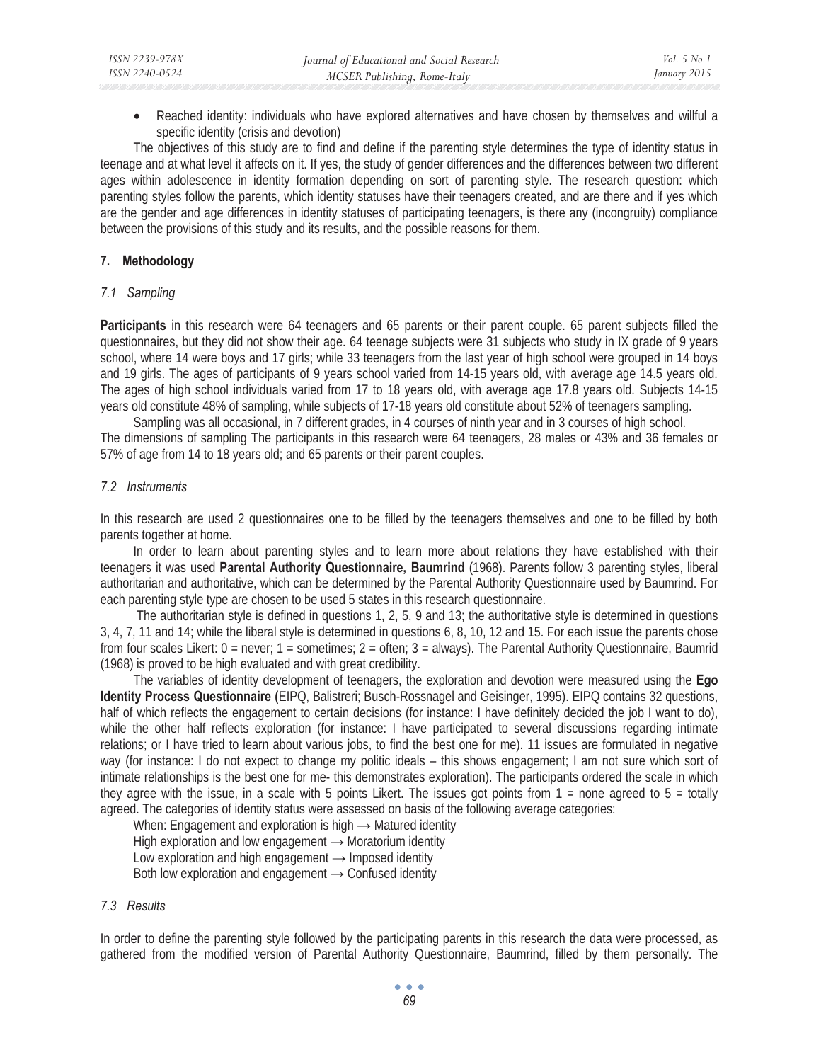• Reached identity: individuals who have explored alternatives and have chosen by themselves and willful a specific identity (crisis and devotion)

The objectives of this study are to find and define if the parenting style determines the type of identity status in teenage and at what level it affects on it. If yes, the study of gender differences and the differences between two different ages within adolescence in identity formation depending on sort of parenting style. The research question: which parenting styles follow the parents, which identity statuses have their teenagers created, and are there and if yes which are the gender and age differences in identity statuses of participating teenagers, is there any (incongruity) compliance between the provisions of this study and its results, and the possible reasons for them.

## **7. Methodology**

### *7.1 Sampling*

**Participants** in this research were 64 teenagers and 65 parents or their parent couple. 65 parent subjects filled the questionnaires, but they did not show their age. 64 teenage subjects were 31 subjects who study in IX grade of 9 years school, where 14 were boys and 17 girls; while 33 teenagers from the last year of high school were grouped in 14 boys and 19 girls. The ages of participants of 9 years school varied from 14-15 years old, with average age 14.5 years old. The ages of high school individuals varied from 17 to 18 years old, with average age 17.8 years old. Subjects 14-15 years old constitute 48% of sampling, while subjects of 17-18 years old constitute about 52% of teenagers sampling.

Sampling was all occasional, in 7 different grades, in 4 courses of ninth year and in 3 courses of high school. The dimensions of sampling The participants in this research were 64 teenagers, 28 males or 43% and 36 females or 57% of age from 14 to 18 years old; and 65 parents or their parent couples.

## *7.2 Instruments*

In this research are used 2 questionnaires one to be filled by the teenagers themselves and one to be filled by both parents together at home.

In order to learn about parenting styles and to learn more about relations they have established with their teenagers it was used **Parental Authority Questionnaire, Baumrind** (1968). Parents follow 3 parenting styles, liberal authoritarian and authoritative, which can be determined by the Parental Authority Questionnaire used by Baumrind. For each parenting style type are chosen to be used 5 states in this research questionnaire.

 The authoritarian style is defined in questions 1, 2, 5, 9 and 13; the authoritative style is determined in questions 3, 4, 7, 11 and 14; while the liberal style is determined in questions 6, 8, 10, 12 and 15. For each issue the parents chose from four scales Likert: 0 = never; 1 = sometimes; 2 = often; 3 = always). The Parental Authority Questionnaire, Baumrid (1968) is proved to be high evaluated and with great credibility.

The variables of identity development of teenagers, the exploration and devotion were measured using the **Ego Identity Process Questionnaire (**EIPQ, Balistreri; Busch-Rossnagel and Geisinger, 1995). EIPQ contains 32 questions, half of which reflects the engagement to certain decisions (for instance: I have definitely decided the job I want to do), while the other half reflects exploration (for instance: I have participated to several discussions regarding intimate relations; or I have tried to learn about various jobs, to find the best one for me). 11 issues are formulated in negative way (for instance: I do not expect to change my politic ideals – this shows engagement; I am not sure which sort of intimate relationships is the best one for me- this demonstrates exploration). The participants ordered the scale in which they agree with the issue, in a scale with 5 points Likert. The issues got points from  $1 =$  none agreed to  $5 =$  totally agreed. The categories of identity status were assessed on basis of the following average categories:

When: Engagement and exploration is high  $\rightarrow$  Matured identity High exploration and low engagement  $\rightarrow$  Moratorium identity Low exploration and high engagement  $\rightarrow$  Imposed identity Both low exploration and engagement  $\rightarrow$  Confused identity

### *7.3 Results*

In order to define the parenting style followed by the participating parents in this research the data were processed, as gathered from the modified version of Parental Authority Questionnaire, Baumrind, filled by them personally. The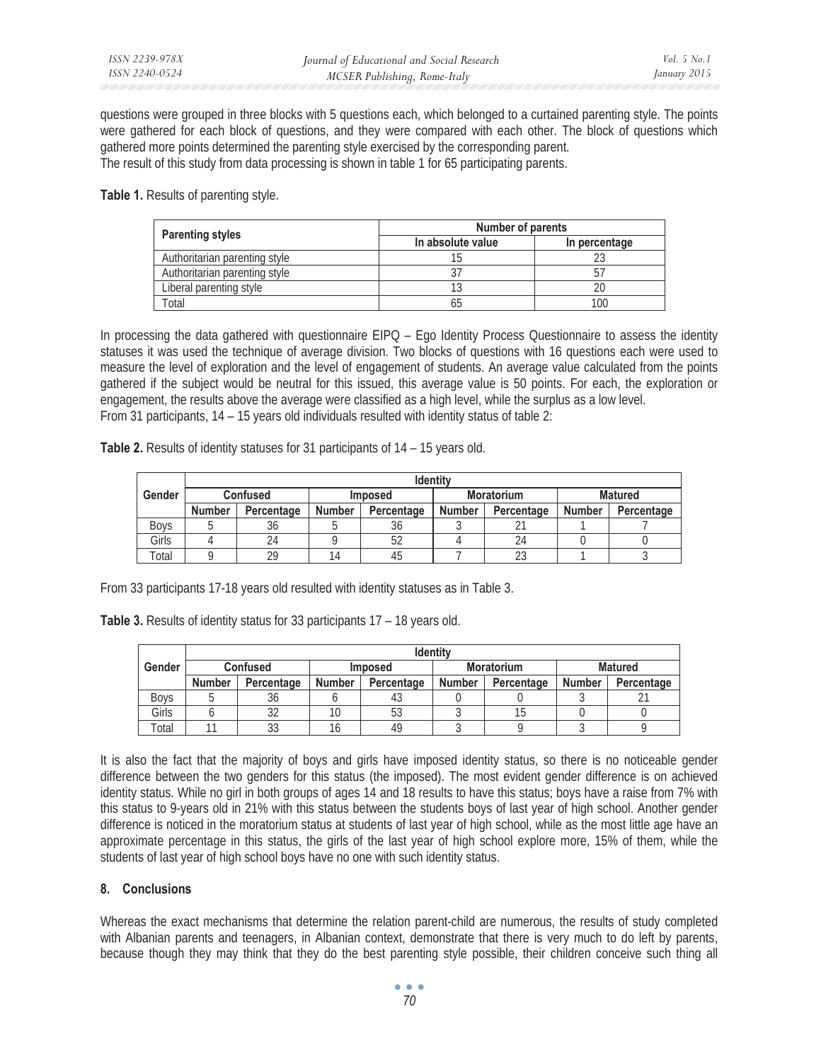questions were grouped in three blocks with 5 questions each, which belonged to a curtained parenting style. The points were gathered for each block of questions, and they were compared with each other. The block of questions which gathered more points determined the parenting style exercised by the corresponding parent. The result of this study from data processing is shown in table 1 for 65 participating parents.

**Table 1.** Results of parenting style.

|                               | <b>Number of parents</b> |               |  |  |  |
|-------------------------------|--------------------------|---------------|--|--|--|
| <b>Parenting styles</b>       | In absolute value        | In percentage |  |  |  |
| Authoritarian parenting style |                          |               |  |  |  |
| Authoritarian parenting style |                          |               |  |  |  |
| Liberal parenting style       |                          |               |  |  |  |
| Total                         | n.                       |               |  |  |  |

In processing the data gathered with questionnaire EIPQ – Ego Identity Process Questionnaire to assess the identity statuses it was used the technique of average division. Two blocks of questions with 16 questions each were used to measure the level of exploration and the level of engagement of students. An average value calculated from the points gathered if the subject would be neutral for this issued, this average value is 50 points. For each, the exploration or engagement, the results above the average were classified as a high level, while the surplus as a low level. From 31 participants, 14 – 15 years old individuals resulted with identity status of table 2:

Table 2. Results of identity statuses for 31 participants of 14 – 15 years old.

|             | <b>Identity</b> |            |                |            |                   |            |                |            |
|-------------|-----------------|------------|----------------|------------|-------------------|------------|----------------|------------|
| Gender      | <b>Confused</b> |            | <b>Imposed</b> |            | <b>Moratorium</b> |            | <b>Matured</b> |            |
|             | <b>Number</b>   | Percentage | <b>Number</b>  | Percentage | <b>Number</b>     | Percentage | <b>Number</b>  | Percentage |
| <b>Boys</b> |                 | 36         |                | 36         |                   |            |                |            |
| Girls       |                 | 24         |                |            |                   | 24         |                |            |
| $\tau$ otal |                 | 29         |                |            |                   | $\cap$     |                |            |

From 33 participants 17-18 years old resulted with identity statuses as in Table 3.

**Table 3.** Results of identity status for 33 participants 17 – 18 years old.

|             | <b>Identity</b> |            |                |            |                   |            |                |            |
|-------------|-----------------|------------|----------------|------------|-------------------|------------|----------------|------------|
| Gender      | <b>Confused</b> |            | <b>Imposed</b> |            | <b>Moratorium</b> |            | <b>Matured</b> |            |
|             | <b>Number</b>   | Percentage | Number         | Percentage | <b>Number</b>     | Percentage | Number         | Percentage |
| <b>Boys</b> |                 | 36         |                |            |                   |            |                |            |
| Girls       |                 | 32         |                | 53         |                   |            |                |            |
| Total       |                 | 33         |                | 49         |                   |            |                |            |

It is also the fact that the majority of boys and girls have imposed identity status, so there is no noticeable gender difference between the two genders for this status (the imposed). The most evident gender difference is on achieved identity status. While no girl in both groups of ages 14 and 18 results to have this status; boys have a raise from 7% with this status to 9-years old in 21% with this status between the students boys of last year of high school. Another gender difference is noticed in the moratorium status at students of last year of high school, while as the most little age have an approximate percentage in this status, the girls of the last year of high school explore more, 15% of them, while the students of last year of high school boys have no one with such identity status.

### **8. Conclusions**

Whereas the exact mechanisms that determine the relation parent-child are numerous, the results of study completed with Albanian parents and teenagers, in Albanian context, demonstrate that there is very much to do left by parents, because though they may think that they do the best parenting style possible, their children conceive such thing all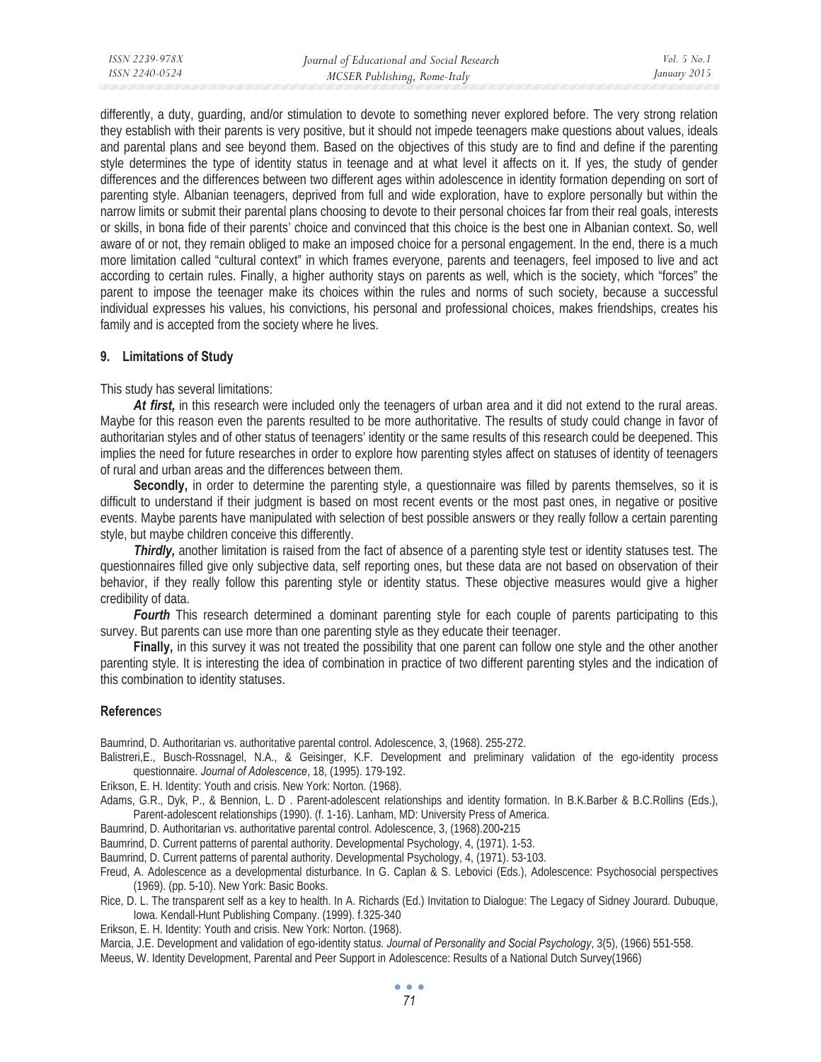differently, a duty, guarding, and/or stimulation to devote to something never explored before. The very strong relation they establish with their parents is very positive, but it should not impede teenagers make questions about values, ideals and parental plans and see beyond them. Based on the objectives of this study are to find and define if the parenting style determines the type of identity status in teenage and at what level it affects on it. If yes, the study of gender differences and the differences between two different ages within adolescence in identity formation depending on sort of parenting style. Albanian teenagers, deprived from full and wide exploration, have to explore personally but within the narrow limits or submit their parental plans choosing to devote to their personal choices far from their real goals, interests or skills, in bona fide of their parents' choice and convinced that this choice is the best one in Albanian context. So, well aware of or not, they remain obliged to make an imposed choice for a personal engagement. In the end, there is a much more limitation called "cultural context" in which frames everyone, parents and teenagers, feel imposed to live and act according to certain rules. Finally, a higher authority stays on parents as well, which is the society, which "forces" the parent to impose the teenager make its choices within the rules and norms of such society, because a successful individual expresses his values, his convictions, his personal and professional choices, makes friendships, creates his family and is accepted from the society where he lives.

#### **9. Limitations of Study**

This study has several limitations:

*At first,* in this research were included only the teenagers of urban area and it did not extend to the rural areas. Maybe for this reason even the parents resulted to be more authoritative. The results of study could change in favor of authoritarian styles and of other status of teenagers' identity or the same results of this research could be deepened. This implies the need for future researches in order to explore how parenting styles affect on statuses of identity of teenagers of rural and urban areas and the differences between them.

Secondly, in order to determine the parenting style, a questionnaire was filled by parents themselves, so it is difficult to understand if their judgment is based on most recent events or the most past ones, in negative or positive events. Maybe parents have manipulated with selection of best possible answers or they really follow a certain parenting style, but maybe children conceive this differently.

*Thirdly,* another limitation is raised from the fact of absence of a parenting style test or identity statuses test. The questionnaires filled give only subjective data, self reporting ones, but these data are not based on observation of their behavior, if they really follow this parenting style or identity status. These objective measures would give a higher credibility of data.

*Fourth* This research determined a dominant parenting style for each couple of parents participating to this survey. But parents can use more than one parenting style as they educate their teenager.

**Finally,** in this survey it was not treated the possibility that one parent can follow one style and the other another parenting style. It is interesting the idea of combination in practice of two different parenting styles and the indication of this combination to identity statuses.

### **Reference**s

Baumrind, D. Authoritarian vs. authoritative parental control. Adolescence, 3, (1968). 255-272.

- Balistreri,E., Busch-Rossnagel, N.A., & Geisinger, K.F. Development and preliminary validation of the ego-identity process questionnaire. *Journal of Adolescence*, 18, (1995). 179-192.
- Erikson, E. H. Identity: Youth and crisis. New York: Norton. (1968).
- Adams, G.R., Dyk, P., & Bennion, L. D . Parent-adolescent relationships and identity formation. In B.K.Barber & B.C.Rollins (Eds.), Parent-adolescent relationships (1990). (f. 1-16). Lanham, MD: University Press of America.
- Baumrind, D. Authoritarian vs. authoritative parental control. Adolescence, 3, (1968).200**-**215

Baumrind, D. Current patterns of parental authority. Developmental Psychology, 4, (1971). 1-53.

Baumrind, D. Current patterns of parental authority. Developmental Psychology, 4, (1971). 53-103.

- Freud, A. Adolescence as a developmental disturbance. In G. Caplan & S. Lebovici (Eds.), Adolescence: Psychosocial perspectives (1969). (pp. 5-10). New York: Basic Books.
- Rice, D. L. The transparent self as a key to health. In A. Richards (Ed.) Invitation to Dialogue: The Legacy of Sidney Jourard. Dubuque, Iowa. Kendall-Hunt Publishing Company. (1999). f.325-340
- Erikson, E. H. Identity: Youth and crisis. New York: Norton. (1968).

Marcia, J.E. Development and validation of ego-identity statu*s. Journal of Personality and Social Psychology*, 3(5), (1966) 551-558.

Meeus, W. Identity Development, Parental and Peer Support in Adolescence: Results of a National Dutch Survey(1966)